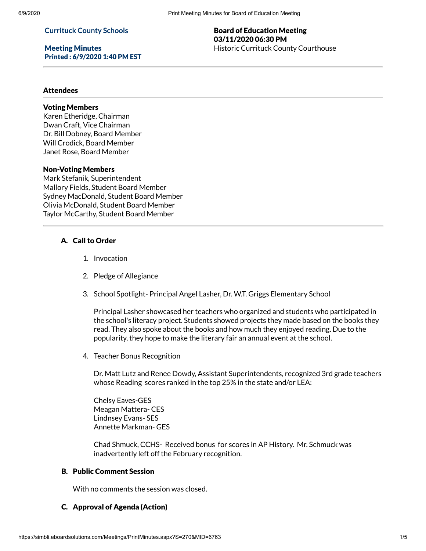#### **Currituck County Schools**

Meeting Minutes Printed : 6/9/2020 1:40 PM EST

#### Board of Education Meeting 03/11/2020 06:30 PM Historic Currituck County Courthouse

#### Attendees

# Voting Members

Karen Etheridge, Chairman Dwan Craft, Vice Chairman Dr. Bill Dobney, Board Member Will Crodick, Board Member Janet Rose, Board Member

#### Non-Voting Members

Mark Stefanik, Superintendent Mallory Fields, Student Board Member Sydney MacDonald, Student Board Member Olivia McDonald, Student Board Member Taylor McCarthy, Student Board Member

## A. Call to Order

- 1. Invocation
- 2. Pledge of Allegiance
- 3. School Spotlight- Principal Angel Lasher, Dr. W.T. Griggs Elementary School

Principal Lasher showcased her teachers who organized and students who participated in the school's literacy project. Students showed projects they made based on the books they read. They also spoke about the books and how much they enjoyed reading. Due to the popularity, they hope to make the literary fair an annual event at the school.

4. Teacher Bonus Recognition

Dr. Matt Lutz and Renee Dowdy, Assistant Superintendents, recognized 3rd grade teachers whose Reading scores ranked in the top 25% in the state and/or LEA:

Chelsy Eaves-GES Meagan Mattera- CES Lindnsey Evans- SES Annette Markman- GES

Chad Shmuck, CCHS- Received bonus for scores in AP History. Mr. Schmuck was inadvertently left off the February recognition.

# B. Public Comment Session

With no comments the session was closed.

#### C. Approval of Agenda (Action)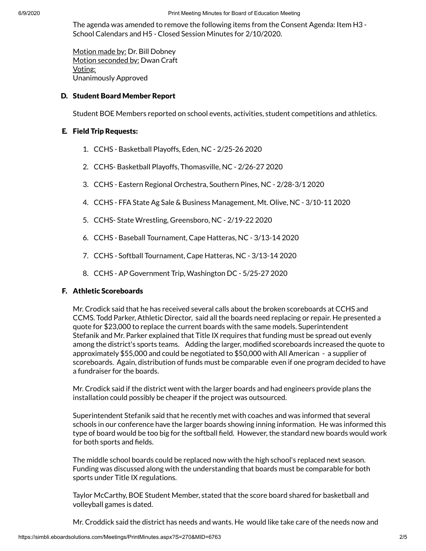The agenda was amended to remove the following items from the Consent Agenda: Item H3 - School Calendars and H5 - Closed Session Minutes for 2/10/2020.

Motion made by: Dr. Bill Dobney Motion seconded by: Dwan Craft Voting: Unanimously Approved

#### D. Student Board Member Report

Student BOE Members reported on school events, activities, student competitions and athletics.

#### E. Field Trip Requests:

- 1. CCHS Basketball Playoffs, Eden, NC 2/25-26 2020
- 2. CCHS- Basketball Playoffs, Thomasville, NC 2/26-27 2020
- 3. CCHS Eastern Regional Orchestra, Southern Pines, NC 2/28-3/1 2020
- 4. CCHS FFA State Ag Sale & Business Management, Mt. Olive, NC 3/10-11 2020
- 5. CCHS- State Wrestling, Greensboro, NC 2/19-22 2020
- 6. CCHS Baseball Tournament, Cape Hatteras, NC 3/13-14 2020
- 7. CCHS Softball Tournament, Cape Hatteras, NC 3/13-14 2020
- 8. CCHS AP Government Trip, Washington DC 5/25-27 2020

#### F. Athletic Scoreboards

Mr. Crodick said that he has received several calls about the broken scoreboards at CCHS and CCMS. Todd Parker, Athletic Director, said all the boards need replacing or repair. He presented a quote for \$23,000 to replace the current boards with the same models. Superintendent Stefanik and Mr. Parker explained that Title IX requires that funding must be spread out evenly among the district's sports teams. Adding the larger, modified scoreboards increased the quote to approximately \$55,000 and could be negotiated to \$50,000 with All American - a supplier of scoreboards. Again, distribution of funds must be comparable even if one program decided to have a fundraiser for the boards.

Mr. Crodick said if the district went with the larger boards and had engineers provide plans the installation could possibly be cheaper if the project was outsourced.

Superintendent Stefanik said that he recently met with coaches and was informed that several schools in our conference have the larger boards showing inning information. He was informed this type of board would be too big for the softball field. However, the standard new boards would work for both sports and fields.

The middle school boards could be replaced now with the high school's replaced next season. Funding was discussed along with the understanding that boards must be comparable for both sports under Title IX regulations.

Taylor McCarthy, BOE Student Member, stated that the score board shared for basketball and volleyball games is dated.

Mr. Croddick said the district has needs and wants. He would like take care of the needs now and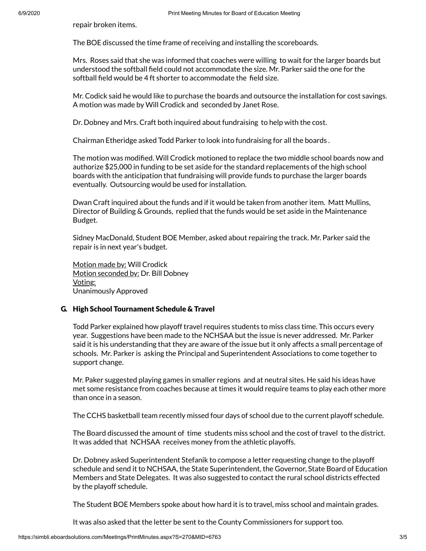repair broken items.

The BOE discussed the time frame of receiving and installing the scoreboards.

Mrs. Roses said that she was informed that coaches were willing to wait for the larger boards but understood the softball field could not accommodate the size. Mr. Parker said the one for the softball field would be 4 ft shorter to accommodate the field size.

Mr. Codick said he would like to purchase the boards and outsource the installation for cost savings. A motion was made by Will Crodick and seconded by Janet Rose.

Dr. Dobney and Mrs. Craft both inquired about fundraising to help with the cost.

Chairman Etheridge asked Todd Parker to look into fundraising for all the boards .

The motion was modified. Will Crodick motioned to replace the two middle school boards now and authorize \$25,000 in funding to be set aside for the standard replacements of the high school boards with the anticipation that fundraising will provide funds to purchase the larger boards eventually. Outsourcing would be used for installation.

Dwan Craft inquired about the funds and if it would be taken from another item. Matt Mullins, Director of Building & Grounds, replied that the funds would be set aside in the Maintenance Budget.

Sidney MacDonald, Student BOE Member, asked about repairing the track. Mr. Parker said the repair is in next year's budget.

Motion made by: Will Crodick Motion seconded by: Dr. Bill Dobney Voting: Unanimously Approved

## G. High School Tournament Schedule & Travel

Todd Parker explained how playoff travel requires students to miss class time. This occurs every year. Suggestions have been made to the NCHSAA but the issue is never addressed. Mr. Parker said it is his understanding that they are aware of the issue but it only affects a small percentage of schools. Mr. Parker is asking the Principal and Superintendent Associations to come together to support change.

Mr. Paker suggested playing games in smaller regions and at neutral sites. He said his ideas have met some resistance from coaches because at times it would require teams to play each other more than once in a season.

The CCHS basketball team recently missed four days of school due to the current playoff schedule.

The Board discussed the amount of time students miss school and the cost of travel to the district. It was added that NCHSAA receives money from the athletic playoffs.

Dr. Dobney asked Superintendent Stefanik to compose a letter requesting change to the playoff schedule and send it to NCHSAA, the State Superintendent, the Governor, State Board of Education Members and State Delegates. It was also suggested to contact the rural school districts effected by the playoff schedule.

The Student BOE Members spoke about how hard it is to travel, miss school and maintain grades.

It was also asked that the letter be sent to the County Commissioners for support too.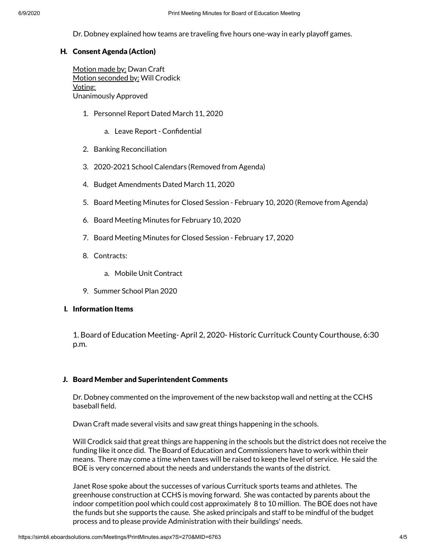Dr. Dobney explained how teams are traveling five hours one-way in early playoff games.

# H. Consent Agenda (Action)

Motion made by: Dwan Craft Motion seconded by: Will Crodick Voting: Unanimously Approved

- 1. Personnel Report Dated March 11, 2020
	- a. Leave Report Confidential
- 2. Banking Reconciliation
- 3. 2020-2021 School Calendars (Removed from Agenda)
- 4. Budget Amendments Dated March 11, 2020
- 5. Board Meeting Minutes for Closed Session February 10, 2020 (Remove from Agenda)
- 6. Board Meeting Minutes for February 10, 2020
- 7. Board Meeting Minutes for Closed Session February 17, 2020
- 8. Contracts:
	- a. Mobile Unit Contract
- 9. Summer School Plan 2020

## I. Information Items

1. Board of Education Meeting- April 2, 2020- Historic Currituck County Courthouse, 6:30 p.m.

# J. Board Member and Superintendent Comments

Dr. Dobney commented on the improvement of the new backstop wall and netting at the CCHS baseball field.

Dwan Craft made several visits and saw great things happening in the schools.

Will Crodick said that great things are happening in the schools but the district does not receive the funding like it once did. The Board of Education and Commissioners have to work within their means. There may come a time when taxes will be raised to keep the level of service. He said the BOE is very concerned about the needs and understands the wants of the district.

Janet Rose spoke about the successes of various Currituck sports teams and athletes. The greenhouse construction at CCHS is moving forward. She was contacted by parents about the indoor competition pool which could cost approximately 8 to 10 million. The BOE does not have the funds but she supports the cause. She asked principals and staff to be mindful of the budget process and to please provide Administration with their buildings' needs.